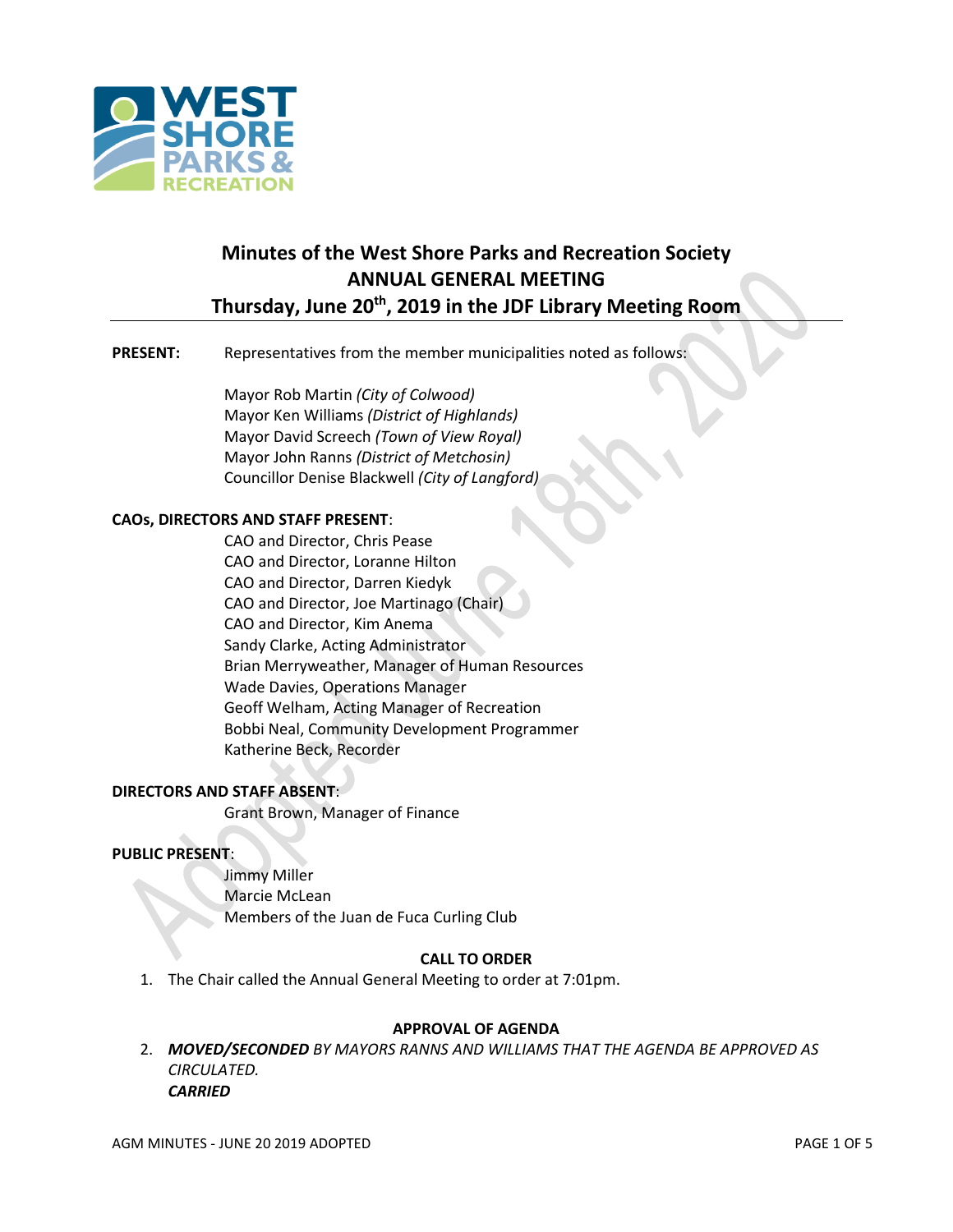

# **Minutes of the West Shore Parks and Recreation Society ANNUAL GENERAL MEETING Thursday, June 20th, 2019 in the JDF Library Meeting Room**

## **PRESENT:** Representatives from the member municipalities noted as follows:

Mayor Rob Martin *(City of Colwood)* Mayor Ken Williams *(District of Highlands)* Mayor David Screech *(Town of View Royal)* Mayor John Ranns *(District of Metchosin)* Councillor Denise Blackwell *(City of Langford)*

## **CAOs, DIRECTORS AND STAFF PRESENT**:

CAO and Director, Chris Pease CAO and Director, Loranne Hilton CAO and Director, Darren Kiedyk CAO and Director, Joe Martinago (Chair) CAO and Director, Kim Anema Sandy Clarke, Acting Administrator Brian Merryweather, Manager of Human Resources Wade Davies, Operations Manager Geoff Welham, Acting Manager of Recreation Bobbi Neal, Community Development Programmer Katherine Beck, Recorder

## **DIRECTORS AND STAFF ABSENT**:

Grant Brown, Manager of Finance

### **PUBLIC PRESENT**:

Jimmy Miller Marcie McLean Members of the Juan de Fuca Curling Club

## **CALL TO ORDER**

1. The Chair called the Annual General Meeting to order at 7:01pm.

### **APPROVAL OF AGENDA**

2. *MOVED/SECONDED BY MAYORS RANNS AND WILLIAMS THAT THE AGENDA BE APPROVED AS CIRCULATED. CARRIED*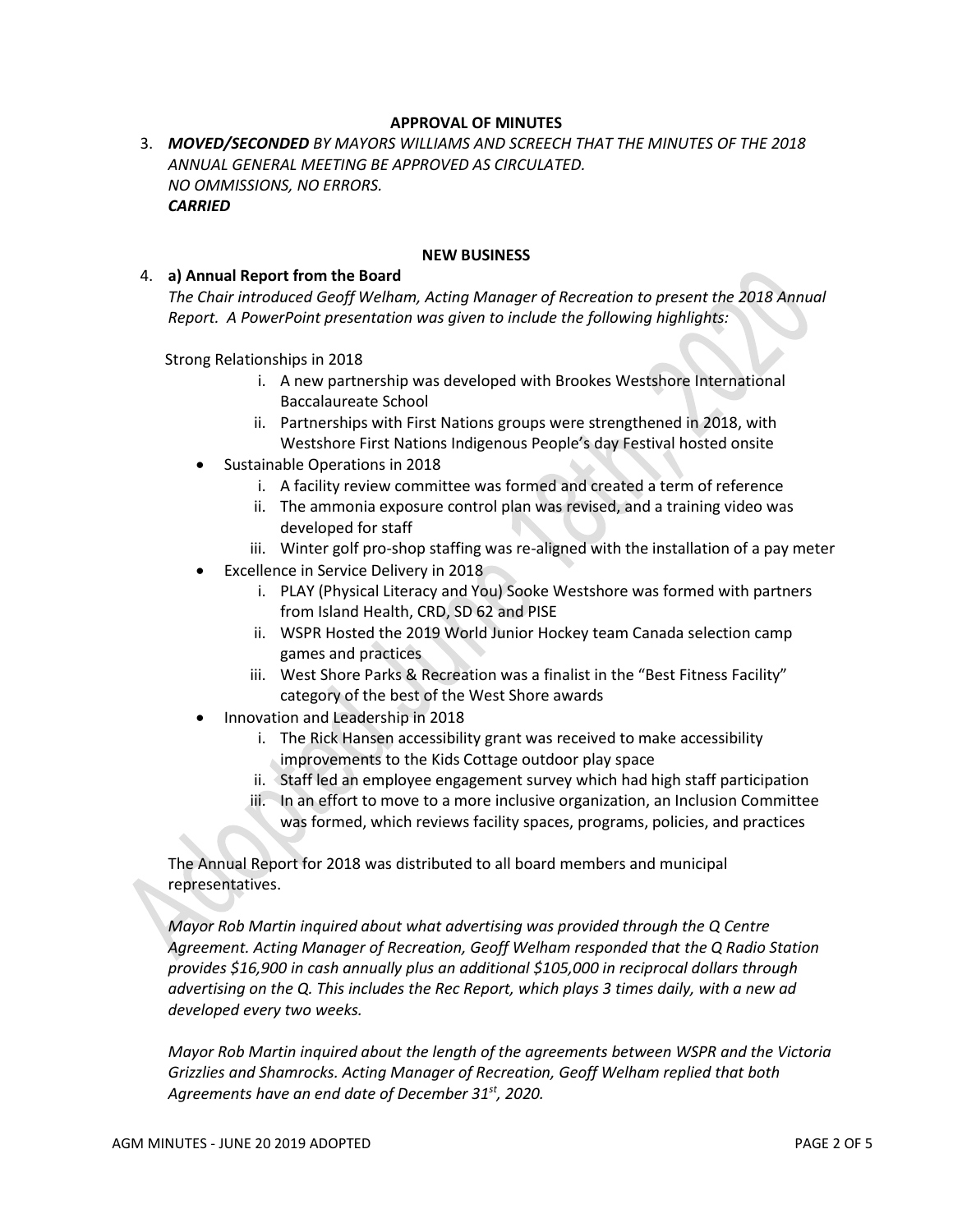## **APPROVAL OF MINUTES**

3. *MOVED/SECONDED BY MAYORS WILLIAMS AND SCREECH THAT THE MINUTES OF THE 2018 ANNUAL GENERAL MEETING BE APPROVED AS CIRCULATED. NO OMMISSIONS, NO ERRORS. CARRIED*

#### **NEW BUSINESS**

#### 4. **a) Annual Report from the Board**

*The Chair introduced Geoff Welham, Acting Manager of Recreation to present the 2018 Annual Report. A PowerPoint presentation was given to include the following highlights:*

Strong Relationships in 2018

- i. A new partnership was developed with Brookes Westshore International Baccalaureate School
- ii. Partnerships with First Nations groups were strengthened in 2018, with Westshore First Nations Indigenous People's day Festival hosted onsite
- Sustainable Operations in 2018
	- i. A facility review committee was formed and created a term of reference
	- ii. The ammonia exposure control plan was revised, and a training video was developed for staff
	- iii. Winter golf pro-shop staffing was re-aligned with the installation of a pay meter
- Excellence in Service Delivery in 2018
	- i. PLAY (Physical Literacy and You) Sooke Westshore was formed with partners from Island Health, CRD, SD 62 and PISE
	- ii. WSPR Hosted the 2019 World Junior Hockey team Canada selection camp games and practices
	- iii. West Shore Parks & Recreation was a finalist in the "Best Fitness Facility" category of the best of the West Shore awards
- Innovation and Leadership in 2018
	- i. The Rick Hansen accessibility grant was received to make accessibility improvements to the Kids Cottage outdoor play space
	- ii. Staff led an employee engagement survey which had high staff participation
	- iii. In an effort to move to a more inclusive organization, an Inclusion Committee was formed, which reviews facility spaces, programs, policies, and practices

The Annual Report for 2018 was distributed to all board members and municipal representatives.

*Mayor Rob Martin inquired about what advertising was provided through the Q Centre Agreement. Acting Manager of Recreation, Geoff Welham responded that the Q Radio Station provides \$16,900 in cash annually plus an additional \$105,000 in reciprocal dollars through advertising on the Q. This includes the Rec Report, which plays 3 times daily, with a new ad developed every two weeks.*

*Mayor Rob Martin inquired about the length of the agreements between WSPR and the Victoria Grizzlies and Shamrocks. Acting Manager of Recreation, Geoff Welham replied that both Agreements have an end date of December 31st, 2020.*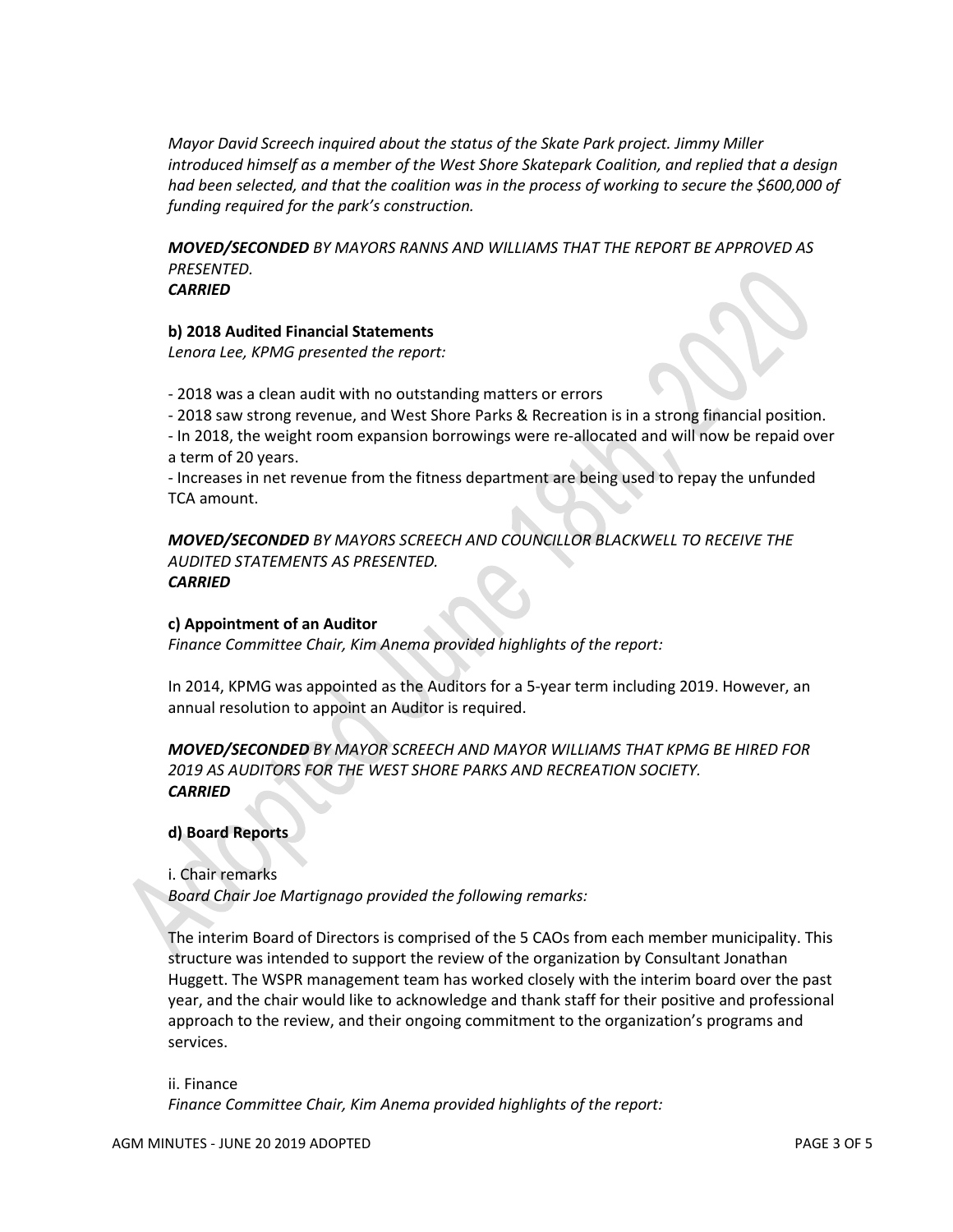*Mayor David Screech inquired about the status of the Skate Park project. Jimmy Miller introduced himself as a member of the West Shore Skatepark Coalition, and replied that a design had been selected, and that the coalition was in the process of working to secure the \$600,000 of funding required for the park's construction.*

*MOVED/SECONDED BY MAYORS RANNS AND WILLIAMS THAT THE REPORT BE APPROVED AS PRESENTED. CARRIED*

### **b) 2018 Audited Financial Statements**

*Lenora Lee, KPMG presented the report:*

- 2018 was a clean audit with no outstanding matters or errors

- 2018 saw strong revenue, and West Shore Parks & Recreation is in a strong financial position.

- In 2018, the weight room expansion borrowings were re-allocated and will now be repaid over a term of 20 years.

- Increases in net revenue from the fitness department are being used to repay the unfunded TCA amount.

*MOVED/SECONDED BY MAYORS SCREECH AND COUNCILLOR BLACKWELL TO RECEIVE THE AUDITED STATEMENTS AS PRESENTED. CARRIED*

## **c) Appointment of an Auditor**

*Finance Committee Chair, Kim Anema provided highlights of the report:*

In 2014, KPMG was appointed as the Auditors for a 5-year term including 2019. However, an annual resolution to appoint an Auditor is required.

```
MOVED/SECONDED BY MAYOR SCREECH AND MAYOR WILLIAMS THAT KPMG BE HIRED FOR 
2019 AS AUDITORS FOR THE WEST SHORE PARKS AND RECREATION SOCIETY.
CARRIED
```
**d) Board Reports**

i. Chair remarks

*Board Chair Joe Martignago provided the following remarks:*

The interim Board of Directors is comprised of the 5 CAOs from each member municipality. This structure was intended to support the review of the organization by Consultant Jonathan Huggett. The WSPR management team has worked closely with the interim board over the past year, and the chair would like to acknowledge and thank staff for their positive and professional approach to the review, and their ongoing commitment to the organization's programs and services.

ii. Finance *Finance Committee Chair, Kim Anema provided highlights of the report:*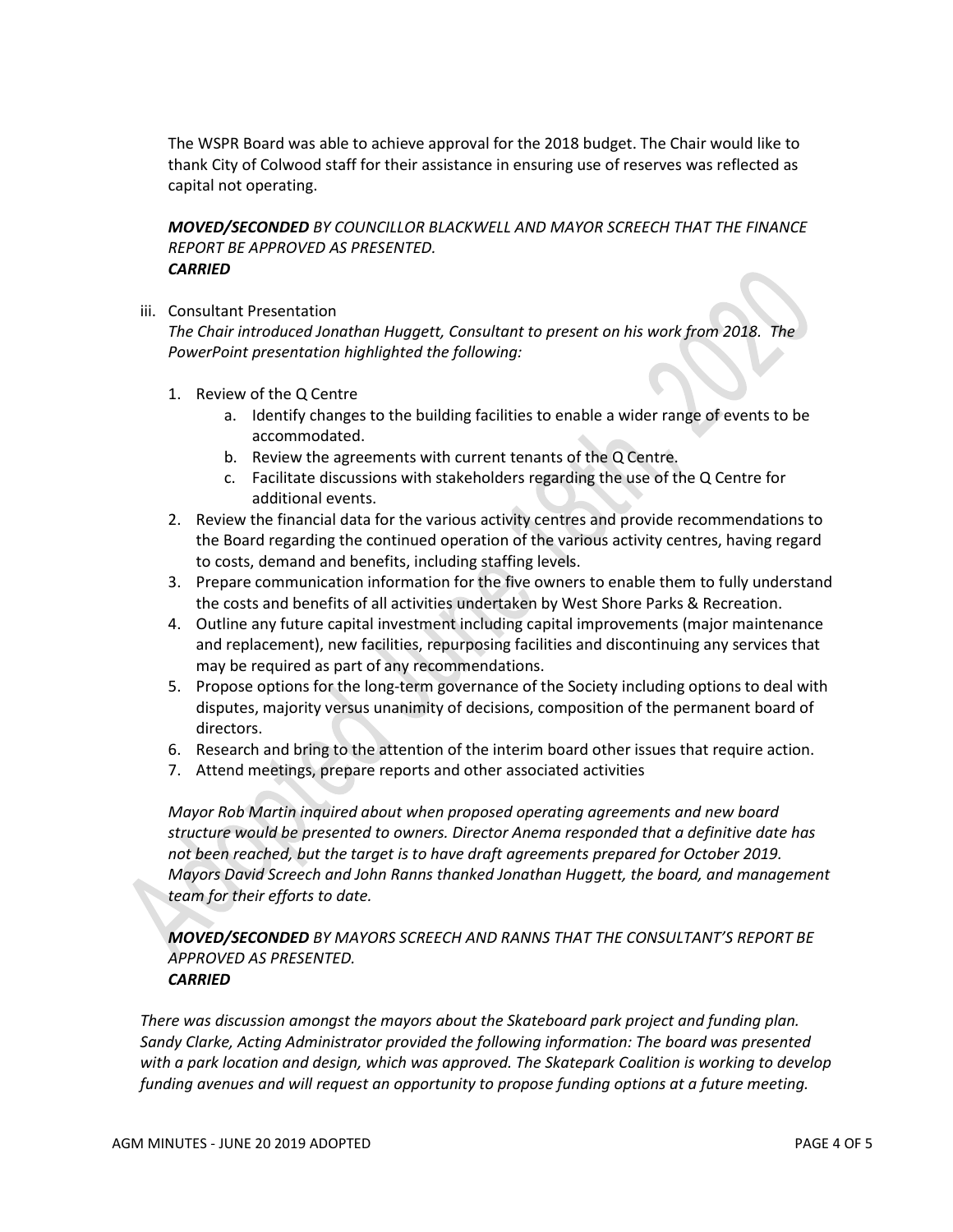The WSPR Board was able to achieve approval for the 2018 budget. The Chair would like to thank City of Colwood staff for their assistance in ensuring use of reserves was reflected as capital not operating.

*MOVED/SECONDED BY COUNCILLOR BLACKWELL AND MAYOR SCREECH THAT THE FINANCE REPORT BE APPROVED AS PRESENTED. CARRIED*

iii. Consultant Presentation

*The Chair introduced Jonathan Huggett, Consultant to present on his work from 2018. The PowerPoint presentation highlighted the following:*

- 1. Review of the Q Centre
	- a. Identify changes to the building facilities to enable a wider range of events to be accommodated.
	- b. Review the agreements with current tenants of the Q Centre.
	- c. Facilitate discussions with stakeholders regarding the use of the Q Centre for additional events.
- 2. Review the financial data for the various activity centres and provide recommendations to the Board regarding the continued operation of the various activity centres, having regard to costs, demand and benefits, including staffing levels.
- 3. Prepare communication information for the five owners to enable them to fully understand the costs and benefits of all activities undertaken by West Shore Parks & Recreation.
- 4. Outline any future capital investment including capital improvements (major maintenance and replacement), new facilities, repurposing facilities and discontinuing any services that may be required as part of any recommendations.
- 5. Propose options for the long-term governance of the Society including options to deal with disputes, majority versus unanimity of decisions, composition of the permanent board of directors.
- 6. Research and bring to the attention of the interim board other issues that require action.
- 7. Attend meetings, prepare reports and other associated activities

*Mayor Rob Martin inquired about when proposed operating agreements and new board structure would be presented to owners. Director Anema responded that a definitive date has not been reached, but the target is to have draft agreements prepared for October 2019. Mayors David Screech and John Ranns thanked Jonathan Huggett, the board, and management team for their efforts to date.*

*MOVED/SECONDED BY MAYORS SCREECH AND RANNS THAT THE CONSULTANT'S REPORT BE APPROVED AS PRESENTED. CARRIED*

*There was discussion amongst the mayors about the Skateboard park project and funding plan. Sandy Clarke, Acting Administrator provided the following information: The board was presented with a park location and design, which was approved. The Skatepark Coalition is working to develop funding avenues and will request an opportunity to propose funding options at a future meeting.*